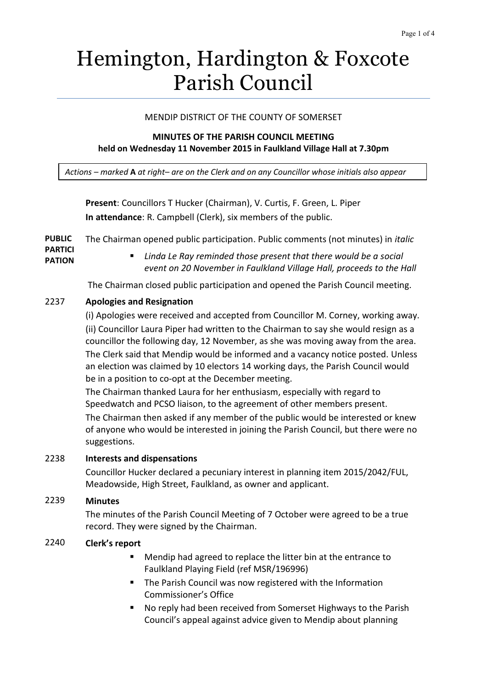# Hemington, Hardington & Foxcote Parish Council

### MENDIP DISTRICT OF THE COUNTY OF SOMERSET

### **MINUTES OF THE PARISH COUNCIL MEETING held on Wednesday 11 November 2015 in Faulkland Village Hall at 7.30pm**

*Actions – marked* **A** *at right– are on the Clerk and on any Councillor whose initials also appear*

**Present**: Councillors T Hucker (Chairman), V. Curtis, F. Green, L. Piper **In attendance**: R. Campbell (Clerk), six members of the public.

**PUBLIC**  The Chairman opened public participation. Public comments (not minutes) in *italic*

- **PARTICI PATION**
- *Linda Le Ray reminded those present that there would be a social event on 20 November in Faulkland Village Hall, proceeds to the Hall*

The Chairman closed public participation and opened the Parish Council meeting.

# 2237 **Apologies and Resignation**

(i) Apologies were received and accepted from Councillor M. Corney, working away. (ii) Councillor Laura Piper had written to the Chairman to say she would resign as a councillor the following day, 12 November, as she was moving away from the area. The Clerk said that Mendip would be informed and a vacancy notice posted. Unless an election was claimed by 10 electors 14 working days, the Parish Council would be in a position to co-opt at the December meeting.

The Chairman thanked Laura for her enthusiasm, especially with regard to Speedwatch and PCSO liaison, to the agreement of other members present. The Chairman then asked if any member of the public would be interested or knew of anyone who would be interested in joining the Parish Council, but there were no suggestions.

### 2238 **Interests and dispensations**

Councillor Hucker declared a pecuniary interest in planning item 2015/2042/FUL, Meadowside, High Street, Faulkland, as owner and applicant.

### 2239 **Minutes**

The minutes of the Parish Council Meeting of 7 October were agreed to be a true record. They were signed by the Chairman.

# 2240 **Clerk's report**

- Mendip had agreed to replace the litter bin at the entrance to Faulkland Playing Field (ref MSR/196996)
- **The Parish Council was now registered with the Information** Commissioner's Office
- No reply had been received from Somerset Highways to the Parish Council's appeal against advice given to Mendip about planning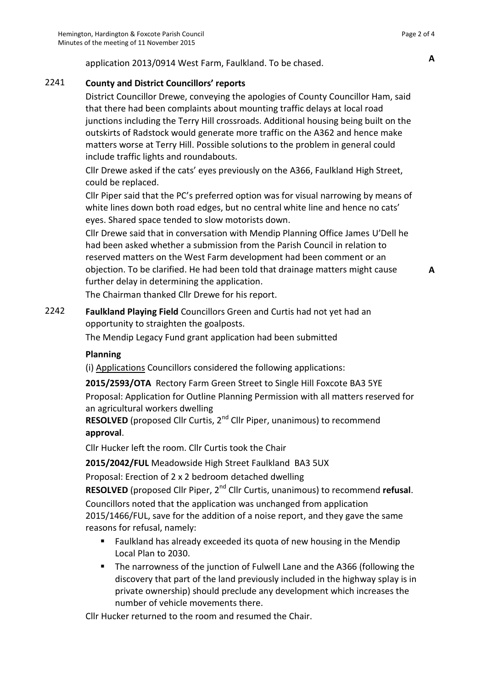application 2013/0914 West Farm, Faulkland. To be chased. **<sup>A</sup>**

# 2241 **County and District Councillors' reports**

District Councillor Drewe, conveying the apologies of County Councillor Ham, said that there had been complaints about mounting traffic delays at local road junctions including the Terry Hill crossroads. Additional housing being built on the outskirts of Radstock would generate more traffic on the A362 and hence make matters worse at Terry Hill. Possible solutions to the problem in general could include traffic lights and roundabouts.

Cllr Drewe asked if the cats' eyes previously on the A366, Faulkland High Street, could be replaced.

Cllr Piper said that the PC's preferred option was for visual narrowing by means of white lines down both road edges, but no central white line and hence no cats' eyes. Shared space tended to slow motorists down.

Cllr Drewe said that in conversation with Mendip Planning Office James U'Dell he had been asked whether a submission from the Parish Council in relation to reserved matters on the West Farm development had been comment or an objection. To be clarified. He had been told that drainage matters might cause further delay in determining the application.

The Chairman thanked Cllr Drewe for his report.

2242 **Faulkland Playing Field** Councillors Green and Curtis had not yet had an opportunity to straighten the goalposts.

The Mendip Legacy Fund grant application had been submitted

# **Planning**

(i) Applications Councillors considered the following applications:

**2015/2593/OTA** Rectory Farm Green Street to Single Hill Foxcote BA3 5YE

Proposal: Application for Outline Planning Permission with all matters reserved for an agricultural workers dwelling

**RESOLVED** (proposed Cllr Curtis, 2<sup>nd</sup> Cllr Piper, unanimous) to recommend **approval**.

Cllr Hucker left the room. Cllr Curtis took the Chair

**2015/2042/FUL** Meadowside High Street Faulkland BA3 5UX

Proposal: Erection of 2 x 2 bedroom detached dwelling

**RESOLVED** (proposed Cllr Piper, 2<sup>nd</sup> Cllr Curtis, unanimous) to recommend **refusal**.

Councillors noted that the application was unchanged from application 2015/1466/FUL, save for the addition of a noise report, and they gave the same reasons for refusal, namely:

- **Faulkland has already exceeded its quota of new housing in the Mendip** Local Plan to 2030.
- The narrowness of the junction of Fulwell Lane and the A366 (following the discovery that part of the land previously included in the highway splay is in private ownership) should preclude any development which increases the number of vehicle movements there.

Cllr Hucker returned to the room and resumed the Chair.

**A**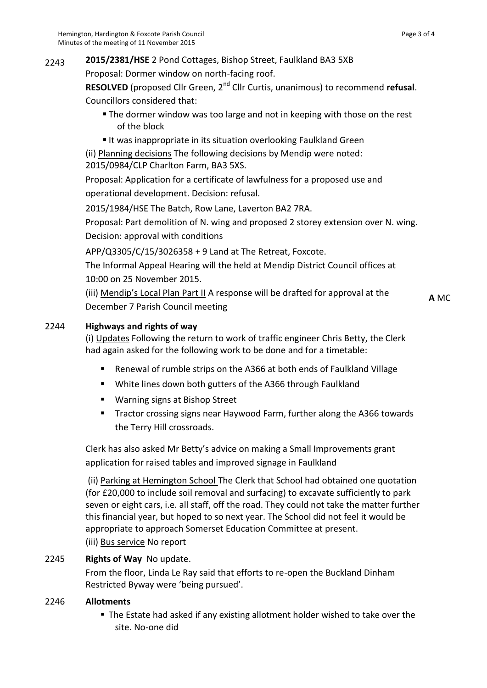# 2243 **2015/2381/HSE** 2 Pond Cottages, Bishop Street, Faulkland BA3 5XB

Proposal: Dormer window on north-facing roof.

**RESOLVED** (proposed Cllr Green, 2<sup>nd</sup> Cllr Curtis, unanimous) to recommend **refusal**. Councillors considered that:

- The dormer window was too large and not in keeping with those on the rest of the block
- It was inappropriate in its situation overlooking Faulkland Green

(ii) Planning decisions The following decisions by Mendip were noted: 2015/0984/CLP Charlton Farm, BA3 5XS.

Proposal: Application for a certificate of lawfulness for a proposed use and operational development. Decision: refusal.

2015/1984/HSE The Batch, Row Lane, Laverton BA2 7RA.

Proposal: Part demolition of N. wing and proposed 2 storey extension over N. wing. Decision: approval with conditions

APP/Q3305/C/15/3026358 + 9 Land at The Retreat, Foxcote.

The Informal Appeal Hearing will the held at Mendip District Council offices at 10:00 on 25 November 2015.

(iii) Mendip's Local Plan Part II A response will be drafted for approval at the December 7 Parish Council meeting

**A** MC

# 2244 **Highways and rights of way**

(i) Updates Following the return to work of traffic engineer Chris Betty, the Clerk had again asked for the following work to be done and for a timetable:

- Renewal of rumble strips on the A366 at both ends of Faulkland Village
- White lines down both gutters of the A366 through Faulkland
- **Warning signs at Bishop Street**
- Tractor crossing signs near Haywood Farm, further along the A366 towards the Terry Hill crossroads.

Clerk has also asked Mr Betty's advice on making a Small Improvements grant application for raised tables and improved signage in Faulkland

(ii) Parking at Hemington School The Clerk that School had obtained one quotation (for £20,000 to include soil removal and surfacing) to excavate sufficiently to park seven or eight cars, i.e. all staff, off the road. They could not take the matter further this financial year, but hoped to so next year. The School did not feel it would be appropriate to approach Somerset Education Committee at present. (iii) Bus service No report

# 2245 **Rights of Way** No update.

From the floor, Linda Le Ray said that efforts to re-open the Buckland Dinham Restricted Byway were 'being pursued'.

# 2246 **Allotments**

 The Estate had asked if any existing allotment holder wished to take over the site. No-one did